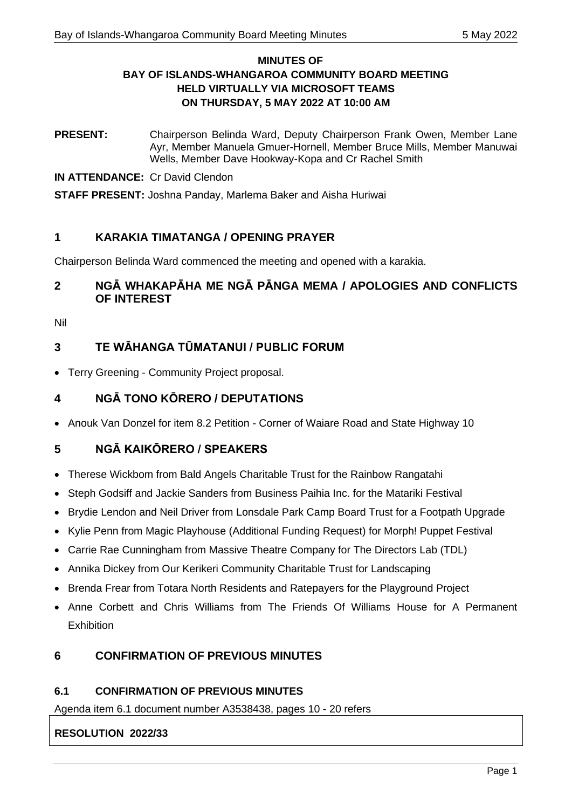# **MINUTES OF BAY OF ISLANDS-WHANGAROA COMMUNITY BOARD MEETING HELD VIRTUALLY VIA MICROSOFT TEAMS ON THURSDAY, 5 MAY 2022 AT 10:00 AM**

**PRESENT:** Chairperson Belinda Ward, Deputy Chairperson Frank Owen, Member Lane Ayr, Member Manuela Gmuer-Hornell, Member Bruce Mills, Member Manuwai Wells, Member Dave Hookway-Kopa and Cr Rachel Smith

**IN ATTENDANCE:** Cr David Clendon

**STAFF PRESENT:** Joshna Panday, Marlema Baker and Aisha Huriwai

# **1 KARAKIA TIMATANGA / OPENING PRAYER**

Chairperson Belinda Ward commenced the meeting and opened with a karakia.

# **2 NGĀ WHAKAPĀHA ME NGĀ PĀNGA MEMA / APOLOGIES AND CONFLICTS OF INTEREST**

Nil

# **3 TE WĀHANGA TŪMATANUI / PUBLIC FORUM**

• Terry Greening - Community Project proposal.

# **4 NGĀ TONO KŌRERO / DEPUTATIONS**

• Anouk Van Donzel for item 8.2 Petition - Corner of Waiare Road and State Highway 10

# **5 NGĀ KAIKŌRERO / SPEAKERS**

- Therese Wickbom from Bald Angels Charitable Trust for the Rainbow Rangatahi
- Steph Godsiff and Jackie Sanders from Business Paihia Inc. for the Matariki Festival
- Brydie Lendon and Neil Driver from Lonsdale Park Camp Board Trust for a Footpath Upgrade
- Kylie Penn from Magic Playhouse (Additional Funding Request) for Morph! Puppet Festival
- Carrie Rae Cunningham from Massive Theatre Company for The Directors Lab (TDL)
- Annika Dickey from Our Kerikeri Community Charitable Trust for Landscaping
- Brenda Frear from Totara North Residents and Ratepayers for the Playground Project
- Anne Corbett and Chris Williams from The Friends Of Williams House for A Permanent **Exhibition**

# **6 CONFIRMATION OF PREVIOUS MINUTES**

## **6.1 CONFIRMATION OF PREVIOUS MINUTES**

Agenda item 6.1 document number A3538438, pages 10 - 20 refers

## **RESOLUTION 2022/33**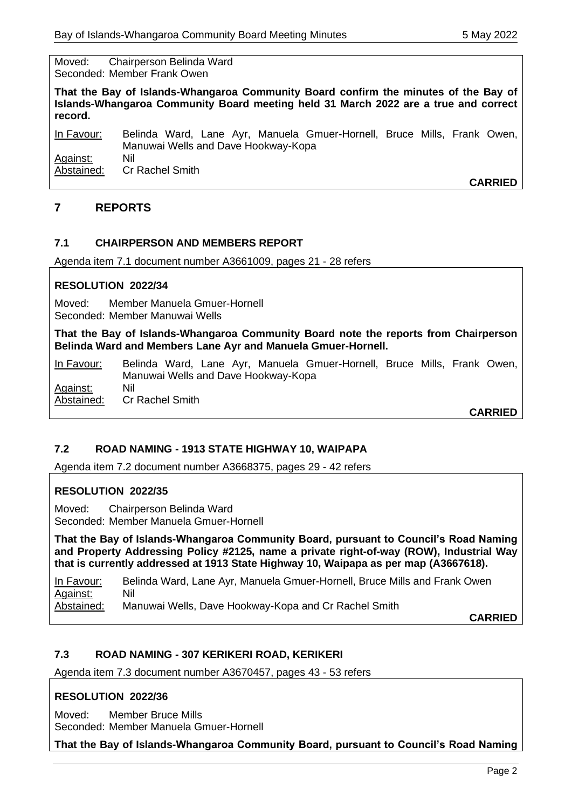Moved: Chairperson Belinda Ward Seconded: Member Frank Owen

**That the Bay of Islands-Whangaroa Community Board confirm the minutes of the Bay of Islands-Whangaroa Community Board meeting held 31 March 2022 are a true and correct record.**

In Favour: Belinda Ward, Lane Ayr, Manuela Gmuer-Hornell, Bruce Mills, Frank Owen, Manuwai Wells and Dave Hookway-Kopa Against: Nil Abstained: Cr Rachel Smith

**CARRIED**

# **7 REPORTS**

## **7.1 CHAIRPERSON AND MEMBERS REPORT**

Agenda item 7.1 document number A3661009, pages 21 - 28 refers

## **RESOLUTION 2022/34**

Moved: Member Manuela Gmuer-Hornell Seconded: Member Manuwai Wells

**That the Bay of Islands-Whangaroa Community Board note the reports from Chairperson Belinda Ward and Members Lane Ayr and Manuela Gmuer-Hornell.**

In Favour: Belinda Ward, Lane Ayr, Manuela Gmuer-Hornell, Bruce Mills, Frank Owen, Manuwai Wells and Dave Hookway-Kopa Against: Nil Abstained: Cr Rachel Smith

**CARRIED**

## **7.2 ROAD NAMING - 1913 STATE HIGHWAY 10, WAIPAPA**

Agenda item 7.2 document number A3668375, pages 29 - 42 refers

## **RESOLUTION 2022/35**

Moved: Chairperson Belinda Ward Seconded: Member Manuela Gmuer-Hornell

**That the Bay of Islands-Whangaroa Community Board, pursuant to Council's Road Naming and Property Addressing Policy #2125, name a private right-of-way (ROW), Industrial Way that is currently addressed at 1913 State Highway 10, Waipapa as per map (A3667618).**

In Favour: Belinda Ward, Lane Ayr, Manuela Gmuer-Hornell, Bruce Mills and Frank Owen Against: Nil Abstained: Manuwai Wells, Dave Hookway-Kopa and Cr Rachel Smith

**CARRIED**

## **7.3 ROAD NAMING - 307 KERIKERI ROAD, KERIKERI**

Agenda item 7.3 document number A3670457, pages 43 - 53 refers

## **RESOLUTION 2022/36**

Moved: Member Bruce Mills Seconded: Member Manuela Gmuer-Hornell

**That the Bay of Islands-Whangaroa Community Board, pursuant to Council's Road Naming**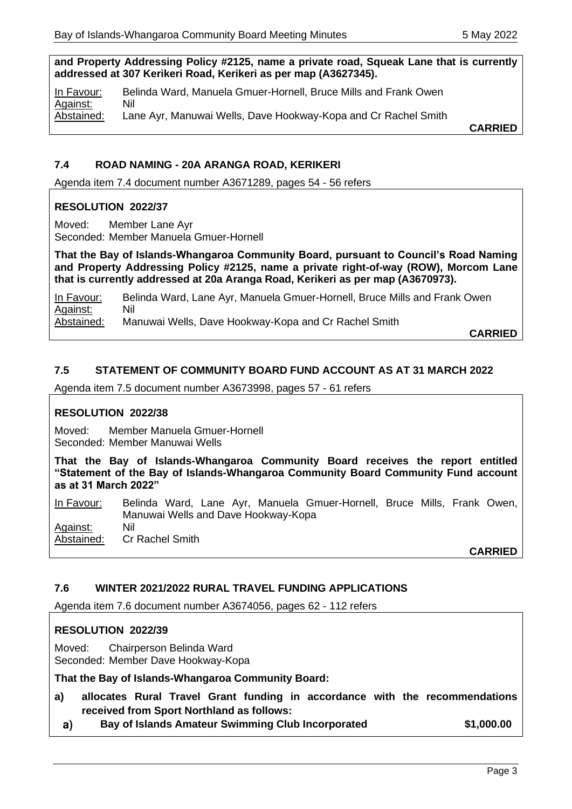**and Property Addressing Policy #2125, name a private road, Squeak Lane that is currently addressed at 307 Kerikeri Road, Kerikeri as per map (A3627345).**

In Favour: Belinda Ward, Manuela Gmuer-Hornell, Bruce Mills and Frank Owen Against: Nil Abstained: Lane Ayr, Manuwai Wells, Dave Hookway-Kopa and Cr Rachel Smith

**CARRIED**

# **7.4 ROAD NAMING - 20A ARANGA ROAD, KERIKERI**

Agenda item 7.4 document number A3671289, pages 54 - 56 refers

## **RESOLUTION 2022/37**

Moved: Member Lane Ayr Seconded: Member Manuela Gmuer-Hornell

**That the Bay of Islands-Whangaroa Community Board, pursuant to Council's Road Naming and Property Addressing Policy #2125, name a private right-of-way (ROW), Morcom Lane that is currently addressed at 20a Aranga Road, Kerikeri as per map (A3670973).**

In Favour: Belinda Ward, Lane Ayr, Manuela Gmuer-Hornell, Bruce Mills and Frank Owen Against: Nil Abstained: Manuwai Wells, Dave Hookway-Kopa and Cr Rachel Smith

**CARRIED**

## **7.5 STATEMENT OF COMMUNITY BOARD FUND ACCOUNT AS AT 31 MARCH 2022**

Agenda item 7.5 document number A3673998, pages 57 - 61 refers

## **RESOLUTION 2022/38**

Moved: Member Manuela Gmuer-Hornell Seconded: Member Manuwai Wells

**That the Bay of Islands-Whangaroa Community Board receives the report entitled "Statement of the Bay of Islands-Whangaroa Community Board Community Fund account as at 31 March 2022"**

In Favour: Belinda Ward, Lane Ayr, Manuela Gmuer-Hornell, Bruce Mills, Frank Owen, Manuwai Wells and Dave Hookway-Kopa

Against: Nil Abstained: Cr Rachel Smith

**CARRIED**

## **7.6 WINTER 2021/2022 RURAL TRAVEL FUNDING APPLICATIONS**

Agenda item 7.6 document number A3674056, pages 62 - 112 refers

## **RESOLUTION 2022/39**

Moved: Chairperson Belinda Ward Seconded: Member Dave Hookway-Kopa

**That the Bay of Islands-Whangaroa Community Board:**

- **a) allocates Rural Travel Grant funding in accordance with the recommendations received from Sport Northland as follows:**
- $a)$ **Bay of Islands Amateur Swimming Club Incorporated \$1,000.00**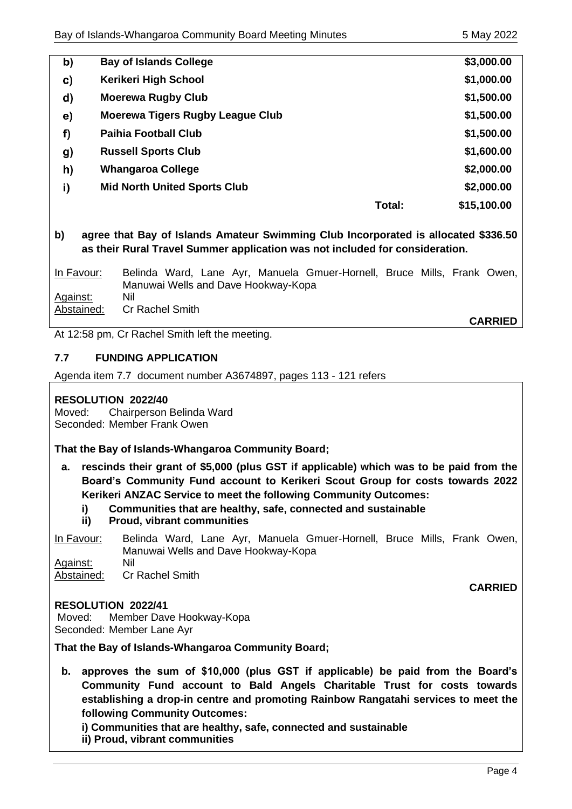| b)            | <b>Bay of Islands College</b>           | \$3,000.00  |
|---------------|-----------------------------------------|-------------|
| c)            | Kerikeri High School                    | \$1,000.00  |
| d)            | <b>Moerewa Rugby Club</b>               | \$1,500.00  |
| $\mathbf{e})$ | <b>Moerewa Tigers Rugby League Club</b> | \$1,500.00  |
| f)            | <b>Paihia Football Club</b>             | \$1,500.00  |
| g)            | <b>Russell Sports Club</b>              | \$1,600.00  |
| h)            | <b>Whangaroa College</b>                | \$2,000.00  |
| i)            | <b>Mid North United Sports Club</b>     | \$2,000.00  |
|               | Total:                                  | \$15,100.00 |

**b)** agree that Bay of Islands Amateur Swimming Club Incorporated is all **as their Rural Travel Summer application was not included for consideration.**

| <u>In Favour:</u> | Belinda Ward, Lane Ayr, Manuela Gmuer-Hornell, Bruce Mills, Frank Owen, |                |
|-------------------|-------------------------------------------------------------------------|----------------|
|                   | Manuwai Wells and Dave Hookway-Kopa                                     |                |
| Against:          | Nil                                                                     |                |
| Abstained:        | <b>Cr Rachel Smith</b>                                                  |                |
|                   |                                                                         | <b>CARRIED</b> |

At 12:58 pm, Cr Rachel Smith left the meeting.

## **7.7 FUNDING APPLICATION**

Agenda item 7.7 document number A3674897, pages 113 - 121 refers

## **RESOLUTION 2022/40**

Moved: Chairperson Belinda Ward Seconded: Member Frank Owen

**That the Bay of Islands-Whangaroa Community Board;**

- **a. rescinds their grant of \$5,000 (plus GST if applicable) which was to be paid from the Board's Community Fund account to Kerikeri Scout Group for costs towards 2022 Kerikeri ANZAC Service to meet the following Community Outcomes:**
	- **i) Communities that are healthy, safe, connected and sustainable**
	- **ii) Proud, vibrant communities**

In Favour: Belinda Ward, Lane Ayr, Manuela Gmuer-Hornell, Bruce Mills, Frank Owen, Manuwai Wells and Dave Hookway-Kopa Against: Nil

Abstained: Cr Rachel Smith

## **RESOLUTION 2022/41**

Moved: Member Dave Hookway-Kopa Seconded: Member Lane Ayr

**That the Bay of Islands-Whangaroa Community Board;** 

**b. approves the sum of \$10,000 (plus GST if applicable) be paid from the Board's Community Fund account to Bald Angels Charitable Trust for costs towards establishing a drop-in centre and promoting Rainbow Rangatahi services to meet the following Community Outcomes:** 

**i) Communities that are healthy, safe, connected and sustainable ii) Proud, vibrant communities** 

**CARRIED**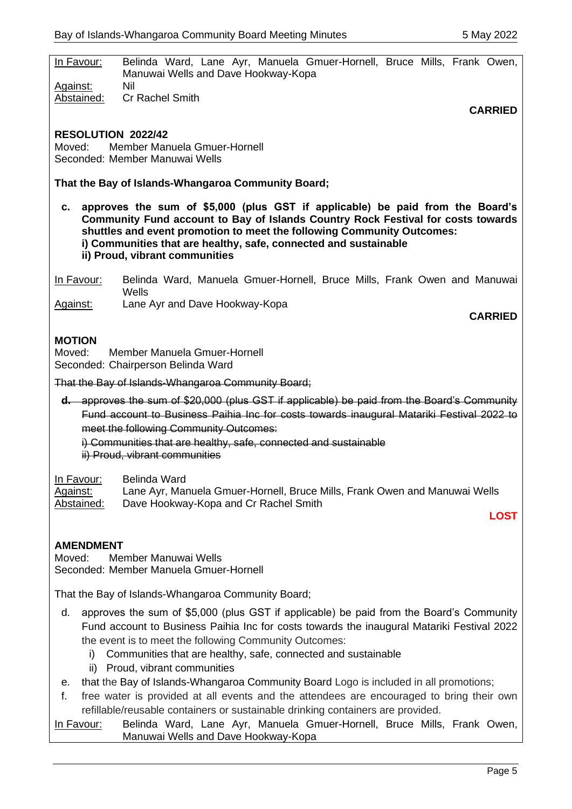| In Favour:                                                                                                                                                                                                                                                                                                                                              | Belinda Ward, Lane Ayr, Manuela Gmuer-Hornell, Bruce Mills, Frank Owen,<br>Manuwai Wells and Dave Hookway-Kopa                                     |  |  |  |  |  |
|---------------------------------------------------------------------------------------------------------------------------------------------------------------------------------------------------------------------------------------------------------------------------------------------------------------------------------------------------------|----------------------------------------------------------------------------------------------------------------------------------------------------|--|--|--|--|--|
| Against:<br>Abstained:                                                                                                                                                                                                                                                                                                                                  | Nil<br>Cr Rachel Smith                                                                                                                             |  |  |  |  |  |
|                                                                                                                                                                                                                                                                                                                                                         | <b>CARRIED</b>                                                                                                                                     |  |  |  |  |  |
| <b>RESOLUTION 2022/42</b><br>Member Manuela Gmuer-Hornell<br>Moved <sup>.</sup><br>Seconded: Member Manuwai Wells                                                                                                                                                                                                                                       |                                                                                                                                                    |  |  |  |  |  |
| That the Bay of Islands-Whangaroa Community Board;                                                                                                                                                                                                                                                                                                      |                                                                                                                                                    |  |  |  |  |  |
| approves the sum of \$5,000 (plus GST if applicable) be paid from the Board's<br>с.<br>Community Fund account to Bay of Islands Country Rock Festival for costs towards<br>shuttles and event promotion to meet the following Community Outcomes:<br>i) Communities that are healthy, safe, connected and sustainable<br>ii) Proud, vibrant communities |                                                                                                                                                    |  |  |  |  |  |
| In Favour:                                                                                                                                                                                                                                                                                                                                              | Belinda Ward, Manuela Gmuer-Hornell, Bruce Mills, Frank Owen and Manuwai<br>Wells                                                                  |  |  |  |  |  |
| Against:                                                                                                                                                                                                                                                                                                                                                | Lane Ayr and Dave Hookway-Kopa<br><b>CARRIED</b>                                                                                                   |  |  |  |  |  |
|                                                                                                                                                                                                                                                                                                                                                         |                                                                                                                                                    |  |  |  |  |  |
| <b>MOTION</b>                                                                                                                                                                                                                                                                                                                                           |                                                                                                                                                    |  |  |  |  |  |
| Moved:                                                                                                                                                                                                                                                                                                                                                  | Member Manuela Gmuer-Hornell<br>Seconded: Chairperson Belinda Ward                                                                                 |  |  |  |  |  |
|                                                                                                                                                                                                                                                                                                                                                         | That the Bay of Islands-Whangaroa Community Board;                                                                                                 |  |  |  |  |  |
| <b>d.</b> approves the sum of \$20,000 (plus GST if applicable) be paid from the Board's Community<br>Fund account to Business Paihia Inc for costs towards inaugural Matariki Festival 2022 to<br>meet the following Community Outcomes:<br>i) Communities that are healthy, safe, connected and sustainable<br>ii) Proud, vibrant communities         |                                                                                                                                                    |  |  |  |  |  |
| In Favour:<br><u>Against:</u><br>Abstained:                                                                                                                                                                                                                                                                                                             | Belinda Ward<br>Lane Ayr, Manuela Gmuer-Hornell, Bruce Mills, Frank Owen and Manuwai Wells<br>Dave Hookway-Kopa and Cr Rachel Smith<br><b>LOST</b> |  |  |  |  |  |
|                                                                                                                                                                                                                                                                                                                                                         |                                                                                                                                                    |  |  |  |  |  |
| <b>AMENDMENT</b><br>Member Manuwai Wells<br>Moved:<br>Seconded: Member Manuela Gmuer-Hornell                                                                                                                                                                                                                                                            |                                                                                                                                                    |  |  |  |  |  |
| That the Bay of Islands-Whangaroa Community Board;                                                                                                                                                                                                                                                                                                      |                                                                                                                                                    |  |  |  |  |  |
| approves the sum of \$5,000 (plus GST if applicable) be paid from the Board's Community<br>d.<br>Fund account to Business Paihia Inc for costs towards the inaugural Matariki Festival 2022<br>the event is to meet the following Community Outcomes:                                                                                                   |                                                                                                                                                    |  |  |  |  |  |
| Communities that are healthy, safe, connected and sustainable<br>i)                                                                                                                                                                                                                                                                                     |                                                                                                                                                    |  |  |  |  |  |
| ii)<br>е.                                                                                                                                                                                                                                                                                                                                               | Proud, vibrant communities<br>that the Bay of Islands-Whangaroa Community Board Logo is included in all promotions;                                |  |  |  |  |  |
| free water is provided at all events and the attendees are encouraged to bring their own<br>f.<br>refillable/reusable containers or sustainable drinking containers are provided.                                                                                                                                                                       |                                                                                                                                                    |  |  |  |  |  |
| Belinda Ward, Lane Ayr, Manuela Gmuer-Hornell, Bruce Mills, Frank Owen,<br><u>In Favour:</u>                                                                                                                                                                                                                                                            |                                                                                                                                                    |  |  |  |  |  |

Manuwai Wells and Dave Hookway-Kopa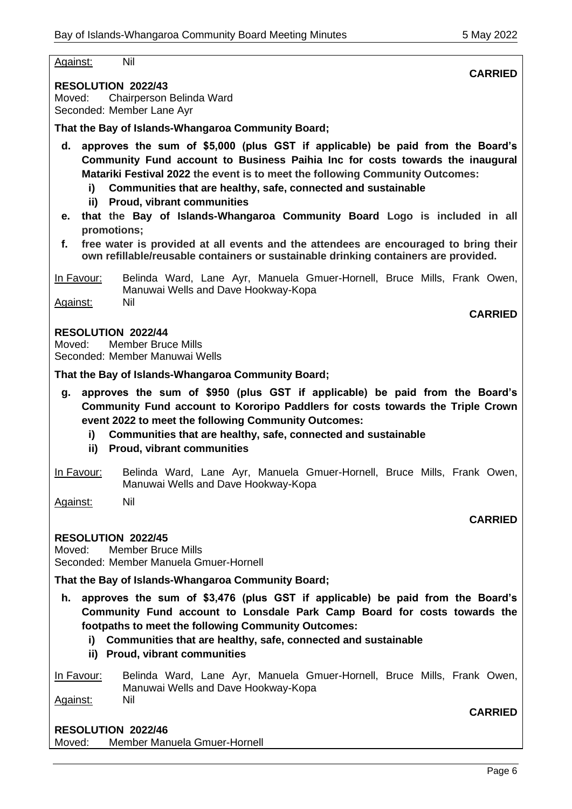Against: Nil

**RESOLUTION 2022/43** Moved: Chairperson Belinda Ward Seconded: Member Lane Ayr

**That the Bay of Islands-Whangaroa Community Board;**

**d. approves the sum of \$5,000 (plus GST if applicable) be paid from the Board's Community Fund account to Business Paihia Inc for costs towards the inaugural Matariki Festival 2022 the event is to meet the following Community Outcomes:**

- **i) Communities that are healthy, safe, connected and sustainable**
- **ii) Proud, vibrant communities**
- **e. that the Bay of Islands-Whangaroa Community Board Logo is included in all promotions;**
- **f. free water is provided at all events and the attendees are encouraged to bring their own refillable/reusable containers or sustainable drinking containers are provided.**

In Favour: Belinda Ward, Lane Ayr, Manuela Gmuer-Hornell, Bruce Mills, Frank Owen, Manuwai Wells and Dave Hookway-Kopa Against: Nil

## **RESOLUTION 2022/44**

Moved: Member Bruce Mills Seconded: Member Manuwai Wells

**That the Bay of Islands-Whangaroa Community Board;**

- **g. approves the sum of \$950 (plus GST if applicable) be paid from the Board's Community Fund account to Kororipo Paddlers for costs towards the Triple Crown event 2022 to meet the following Community Outcomes:** 
	- **i) Communities that are healthy, safe, connected and sustainable**
	- **ii) Proud, vibrant communities**
- In Favour: Belinda Ward, Lane Ayr, Manuela Gmuer-Hornell, Bruce Mills, Frank Owen, Manuwai Wells and Dave Hookway-Kopa

Against: Nil

## **RESOLUTION 2022/45**

Moved: Member Bruce Mills Seconded: Member Manuela Gmuer-Hornell

**That the Bay of Islands-Whangaroa Community Board;**

- **h. approves the sum of \$3,476 (plus GST if applicable) be paid from the Board's Community Fund account to Lonsdale Park Camp Board for costs towards the footpaths to meet the following Community Outcomes:** 
	- **i) Communities that are healthy, safe, connected and sustainable**
	- **ii) Proud, vibrant communities**

In Favour: Belinda Ward, Lane Ayr, Manuela Gmuer-Hornell, Bruce Mills, Frank Owen, Manuwai Wells and Dave Hookway-Kopa Against: Nil

## **RESOLUTION 2022/46**

Moved: Member Manuela Gmuer-Hornell

**CARRIED** 

**CARRIED**

## **CARRIED**

**CARRIED**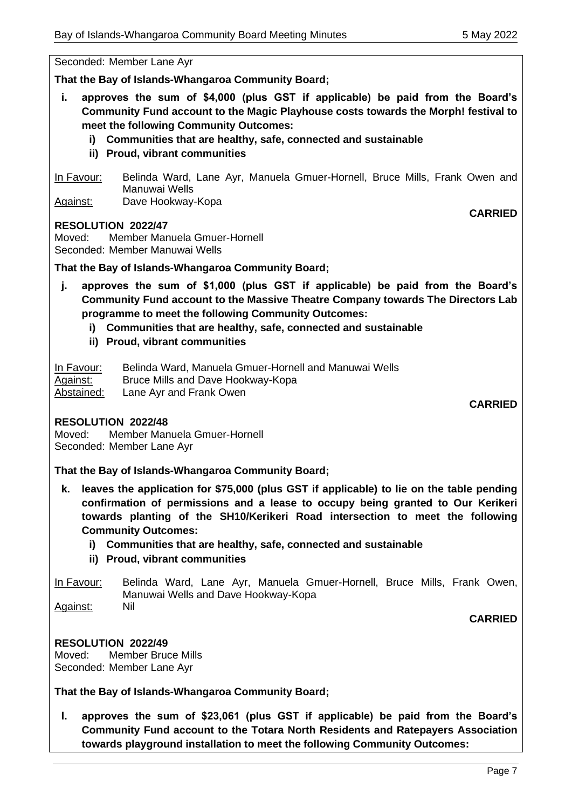**CARRIED**

#### Seconded: Member Lane Ayr

**That the Bay of Islands-Whangaroa Community Board;**

- **i. approves the sum of \$4,000 (plus GST if applicable) be paid from the Board's Community Fund account to the Magic Playhouse costs towards the Morph! festival to meet the following Community Outcomes:** 
	- **i) Communities that are healthy, safe, connected and sustainable**
	- **ii) Proud, vibrant communities**

In Favour: Belinda Ward, Lane Ayr, Manuela Gmuer-Hornell, Bruce Mills, Frank Owen and Manuwai Wells Against: Dave Hookway-Kopa

#### **RESOLUTION 2022/47**

Moved: Member Manuela Gmuer-Hornell Seconded: Member Manuwai Wells

## **That the Bay of Islands-Whangaroa Community Board;**

- **j. approves the sum of \$1,000 (plus GST if applicable) be paid from the Board's Community Fund account to the Massive Theatre Company towards The Directors Lab programme to meet the following Community Outcomes:** 
	- **i) Communities that are healthy, safe, connected and sustainable**
	- **ii) Proud, vibrant communities**

In Favour: Belinda Ward, Manuela Gmuer-Hornell and Manuwai Wells Against: Bruce Mills and Dave Hookway-Kopa Abstained: Lane Ayr and Frank Owen

**CARRIED** 

#### **RESOLUTION 2022/48**

Moved: Member Manuela Gmuer-Hornell Seconded: Member Lane Ayr

**That the Bay of Islands-Whangaroa Community Board;**

- **k. leaves the application for \$75,000 (plus GST if applicable) to lie on the table pending confirmation of permissions and a lease to occupy being granted to Our Kerikeri towards planting of the SH10/Kerikeri Road intersection to meet the following Community Outcomes:** 
	- **i) Communities that are healthy, safe, connected and sustainable**
	- **ii) Proud, vibrant communities**

In Favour: Belinda Ward, Lane Ayr, Manuela Gmuer-Hornell, Bruce Mills, Frank Owen, Manuwai Wells and Dave Hookway-Kopa

Against: Nil

**CARRIED**

**RESOLUTION 2022/49** Moved: Member Bruce Mills Seconded: Member Lane Ayr

**That the Bay of Islands-Whangaroa Community Board;**

**l. approves the sum of \$23,061 (plus GST if applicable) be paid from the Board's Community Fund account to the Totara North Residents and Ratepayers Association towards playground installation to meet the following Community Outcomes:**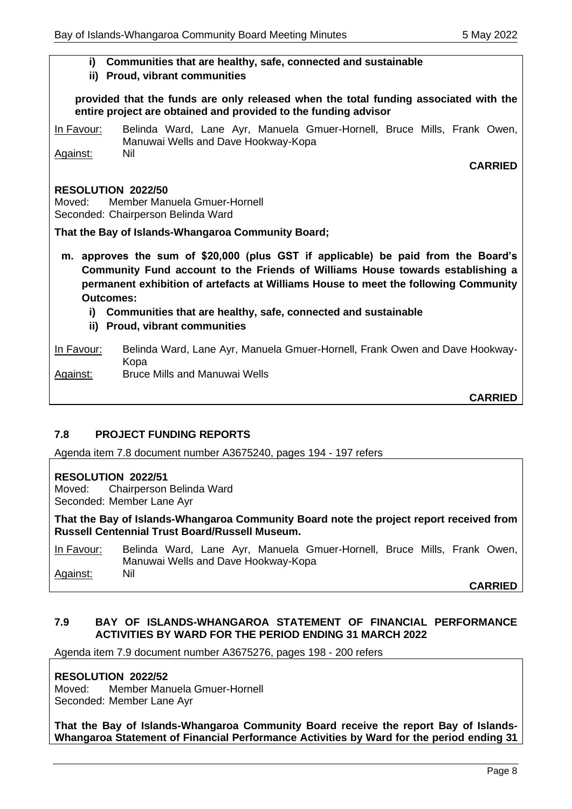## **i) Communities that are healthy, safe, connected and sustainable**

#### **ii) Proud, vibrant communities**

**provided that the funds are only released when the total funding associated with the entire project are obtained and provided to the funding advisor** 

In Favour: Belinda Ward, Lane Ayr, Manuela Gmuer-Hornell, Bruce Mills, Frank Owen, Manuwai Wells and Dave Hookway-Kopa Against: Nil

## **CARRIED**

#### **RESOLUTION 2022/50**

Moved: Member Manuela Gmuer-Hornell Seconded: Chairperson Belinda Ward

**That the Bay of Islands-Whangaroa Community Board;**

- **m. approves the sum of \$20,000 (plus GST if applicable) be paid from the Board's Community Fund account to the Friends of Williams House towards establishing a permanent exhibition of artefacts at Williams House to meet the following Community Outcomes:**
	- **i) Communities that are healthy, safe, connected and sustainable**
	- **ii) Proud, vibrant communities**

#### In Favour: Belinda Ward, Lane Ayr, Manuela Gmuer-Hornell, Frank Owen and Dave Hookway-Kopa Against: Bruce Mills and Manuwai Wells

# **CARRIED**

# **7.8 PROJECT FUNDING REPORTS**

Agenda item 7.8 document number A3675240, pages 194 - 197 refers

## **RESOLUTION 2022/51**

Moved: Chairperson Belinda Ward Seconded: Member Lane Ayr

**That the Bay of Islands-Whangaroa Community Board note the project report received from Russell Centennial Trust Board/Russell Museum.**

In Favour: Belinda Ward, Lane Ayr, Manuela Gmuer-Hornell, Bruce Mills, Frank Owen, Manuwai Wells and Dave Hookway-Kopa Against: Nil

**CARRIED**

## **7.9 BAY OF ISLANDS-WHANGAROA STATEMENT OF FINANCIAL PERFORMANCE ACTIVITIES BY WARD FOR THE PERIOD ENDING 31 MARCH 2022**

Agenda item 7.9 document number A3675276, pages 198 - 200 refers

## **RESOLUTION 2022/52**

Moved: Member Manuela Gmuer-Hornell Seconded: Member Lane Ayr

**That the Bay of Islands-Whangaroa Community Board receive the report Bay of Islands-Whangaroa Statement of Financial Performance Activities by Ward for the period ending 31**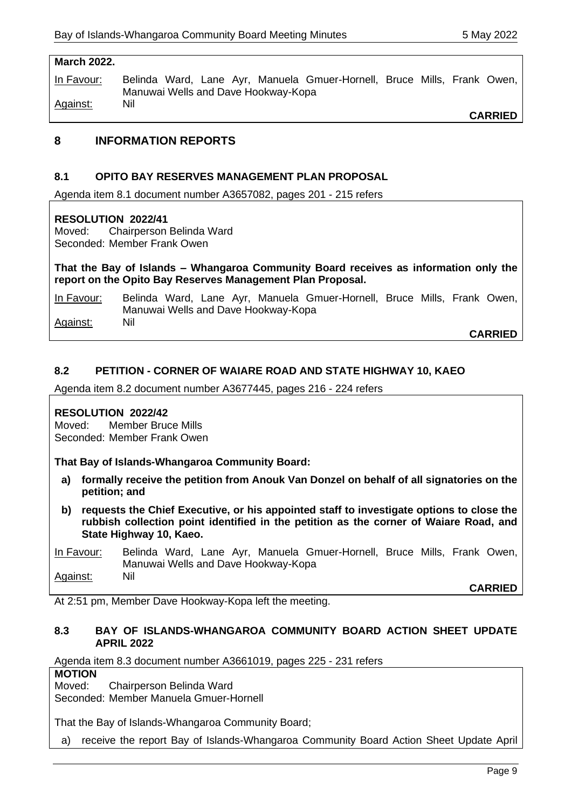#### **March 2022.**

In Favour: Belinda Ward, Lane Ayr, Manuela Gmuer-Hornell, Bruce Mills, Frank Owen, Manuwai Wells and Dave Hookway-Kopa Against: Nil

**CARRIED**

# **8 INFORMATION REPORTS**

## **8.1 OPITO BAY RESERVES MANAGEMENT PLAN PROPOSAL**

Agenda item 8.1 document number A3657082, pages 201 - 215 refers

#### **RESOLUTION 2022/41**

Moved: Chairperson Belinda Ward Seconded: Member Frank Owen

**That the Bay of Islands – Whangaroa Community Board receives as information only the report on the Opito Bay Reserves Management Plan Proposal.**

In Favour: Belinda Ward, Lane Ayr, Manuela Gmuer-Hornell, Bruce Mills, Frank Owen, Manuwai Wells and Dave Hookway-Kopa Against: Nil

**CARRIED**

#### **8.2 PETITION - CORNER OF WAIARE ROAD AND STATE HIGHWAY 10, KAEO**

Agenda item 8.2 document number A3677445, pages 216 - 224 refers

#### **RESOLUTION 2022/42**

Moved: Member Bruce Mills Seconded: Member Frank Owen

**That Bay of Islands-Whangaroa Community Board:**

- **a) formally receive the petition from Anouk Van Donzel on behalf of all signatories on the petition; and**
- **b) requests the Chief Executive, or his appointed staff to investigate options to close the rubbish collection point identified in the petition as the corner of Waiare Road, and State Highway 10, Kaeo.**

In Favour: Belinda Ward, Lane Ayr, Manuela Gmuer-Hornell, Bruce Mills, Frank Owen, Manuwai Wells and Dave Hookway-Kopa Against: Nil

**CARRIED**

At 2:51 pm, Member Dave Hookway-Kopa left the meeting.

#### **8.3 BAY OF ISLANDS-WHANGAROA COMMUNITY BOARD ACTION SHEET UPDATE APRIL 2022**

Agenda item 8.3 document number A3661019, pages 225 - 231 refers

**MOTION**

Moved: Chairperson Belinda Ward Seconded: Member Manuela Gmuer-Hornell

That the Bay of Islands-Whangaroa Community Board;

a) receive the report Bay of Islands-Whangaroa Community Board Action Sheet Update April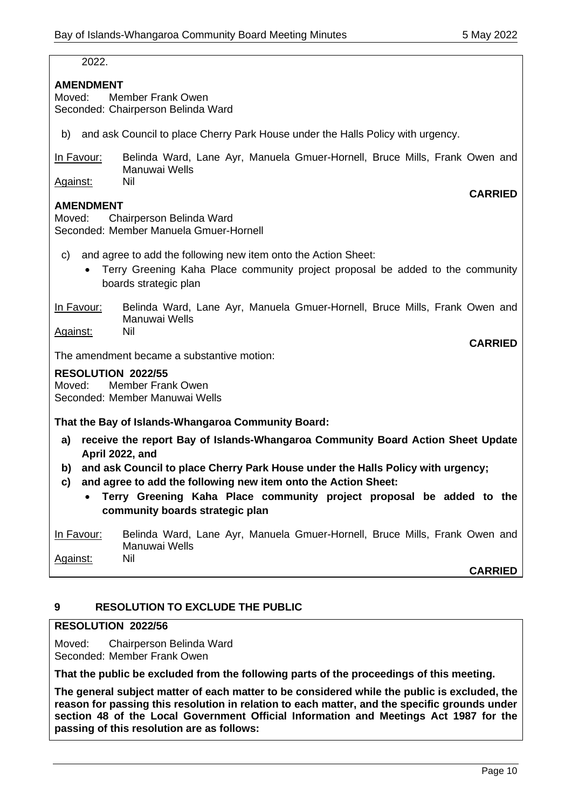| 2022.                                                                                                                                                                           |  |  |  |  |  |
|---------------------------------------------------------------------------------------------------------------------------------------------------------------------------------|--|--|--|--|--|
| <b>AMENDMENT</b><br><b>Member Frank Owen</b><br>Moved:<br>Seconded: Chairperson Belinda Ward                                                                                    |  |  |  |  |  |
| and ask Council to place Cherry Park House under the Halls Policy with urgency.<br>b)                                                                                           |  |  |  |  |  |
| Belinda Ward, Lane Ayr, Manuela Gmuer-Hornell, Bruce Mills, Frank Owen and<br>In Favour:<br>Manuwai Wells                                                                       |  |  |  |  |  |
| Nil<br>Against:<br><b>CARRIED</b>                                                                                                                                               |  |  |  |  |  |
| <b>AMENDMENT</b><br>Chairperson Belinda Ward<br>Moved:<br>Seconded: Member Manuela Gmuer-Hornell                                                                                |  |  |  |  |  |
| and agree to add the following new item onto the Action Sheet:<br>C)<br>Terry Greening Kaha Place community project proposal be added to the community<br>boards strategic plan |  |  |  |  |  |
| Belinda Ward, Lane Ayr, Manuela Gmuer-Hornell, Bruce Mills, Frank Owen and<br>In Favour:<br>Manuwai Wells<br>Nil<br>Against:                                                    |  |  |  |  |  |
| <b>CARRIED</b>                                                                                                                                                                  |  |  |  |  |  |
| The amendment became a substantive motion:                                                                                                                                      |  |  |  |  |  |
| <b>RESOLUTION 2022/55</b><br>Member Frank Owen<br>Moved:<br>Seconded: Member Manuwai Wells                                                                                      |  |  |  |  |  |
| That the Bay of Islands-Whangaroa Community Board:                                                                                                                              |  |  |  |  |  |
| receive the report Bay of Islands-Whangaroa Community Board Action Sheet Update<br>a)<br>April 2022, and                                                                        |  |  |  |  |  |
| and ask Council to place Cherry Park House under the Halls Policy with urgency;<br>b)<br>and agree to add the following new item onto the Action Sheet:<br>c)                   |  |  |  |  |  |
| Terry Greening Kaha Place community project proposal be added to the<br>$\bullet$<br>community boards strategic plan                                                            |  |  |  |  |  |
| Belinda Ward, Lane Ayr, Manuela Gmuer-Hornell, Bruce Mills, Frank Owen and<br>In Favour:                                                                                        |  |  |  |  |  |

**CARRIED**

# **9 RESOLUTION TO EXCLUDE THE PUBLIC**

Manuwai Wells

#### **RESOLUTION 2022/56**

Against: Nil

Moved: Chairperson Belinda Ward Seconded: Member Frank Owen

**That the public be excluded from the following parts of the proceedings of this meeting.**

**The general subject matter of each matter to be considered while the public is excluded, the reason for passing this resolution in relation to each matter, and the specific grounds under section 48 of the Local Government Official Information and Meetings Act 1987 for the passing of this resolution are as follows:**